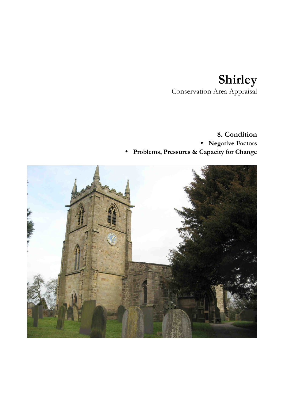## **Shirley**  Conservation Area Appraisal

## **8. Condition**  • **Negative Factors** • **Problems, Pressures & Capacity for Change**